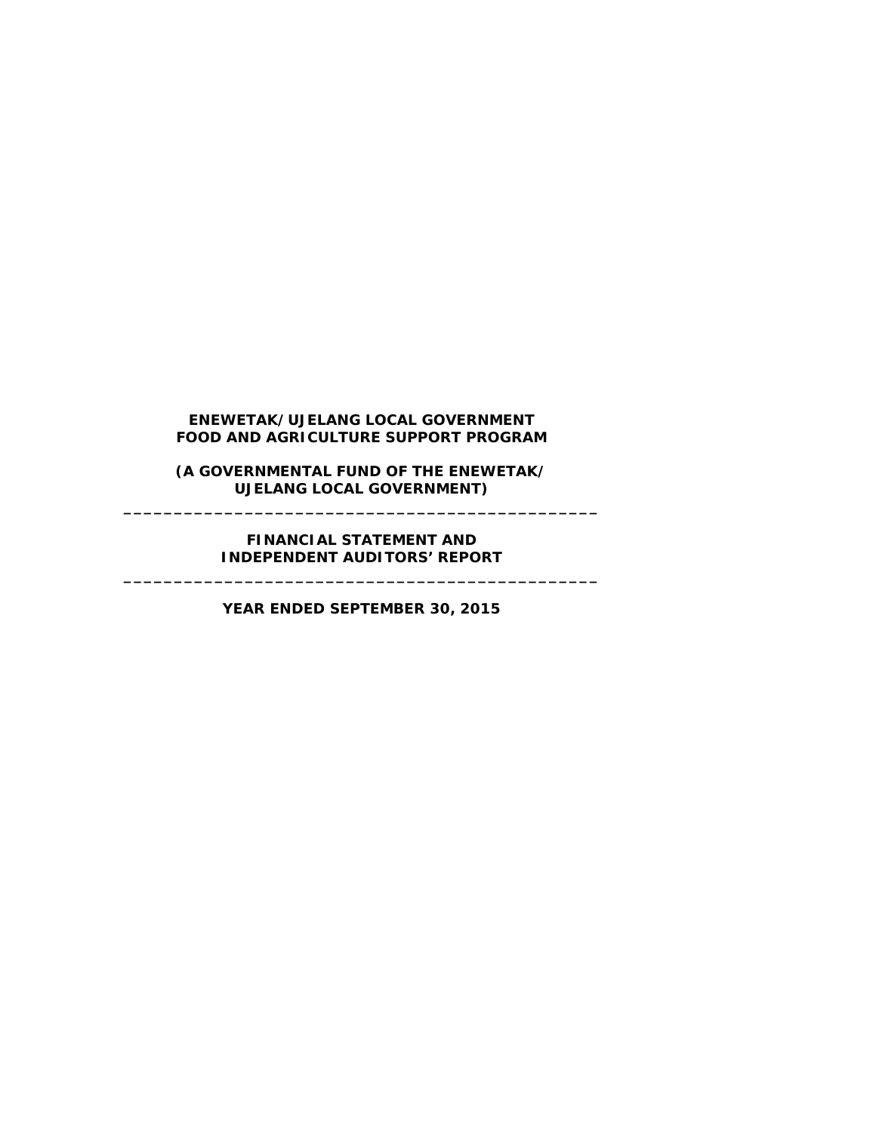**(A GOVERNMENTAL FUND OF THE ENEWETAK/ UJELANG LOCAL GOVERNMENT) \_\_\_\_\_\_\_\_\_\_\_\_\_\_\_\_\_\_\_\_\_\_\_\_\_\_\_\_\_\_\_\_\_\_\_\_\_\_\_\_\_\_\_\_\_\_\_**

#### **FINANCIAL STATEMENT AND INDEPENDENT AUDITORS' REPORT \_\_\_\_\_\_\_\_\_\_\_\_\_\_\_\_\_\_\_\_\_\_\_\_\_\_\_\_\_\_\_\_\_\_\_\_\_\_\_\_\_\_\_\_\_\_\_**

**YEAR ENDED SEPTEMBER 30, 2015**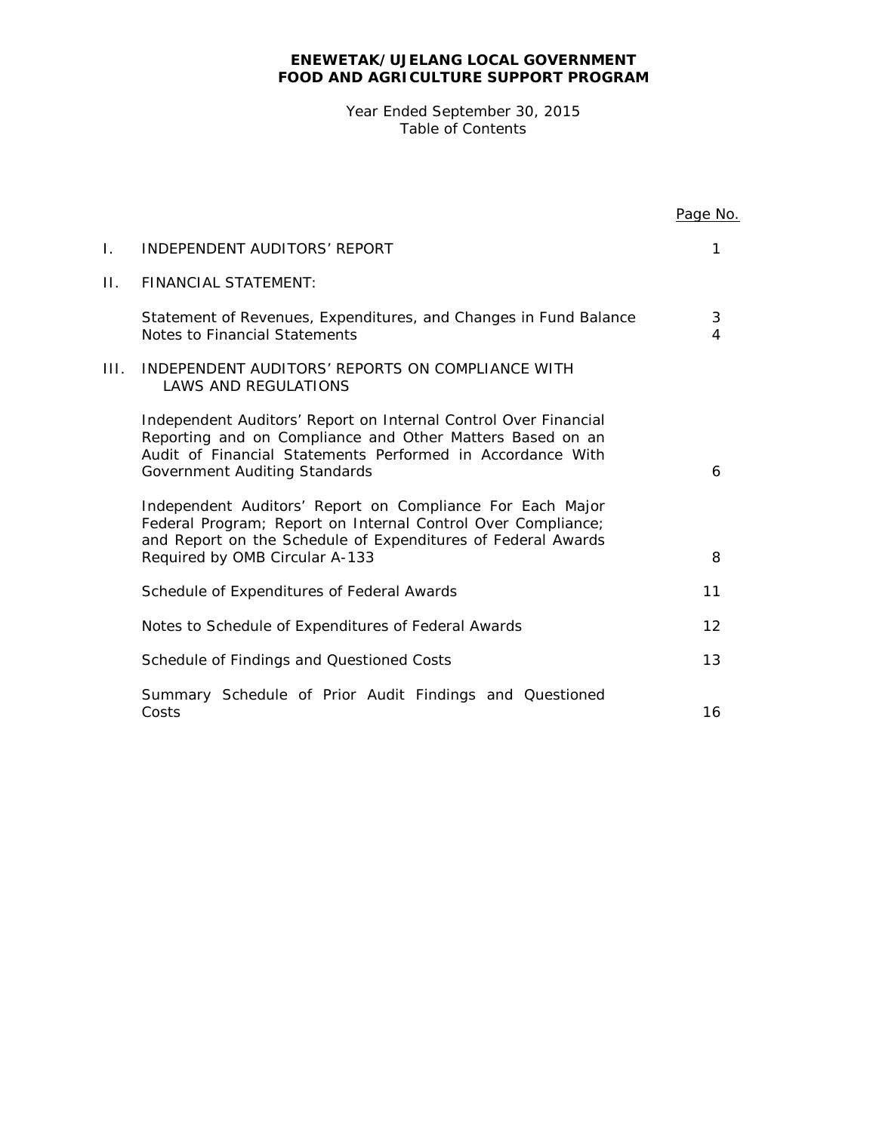Year Ended September 30, 2015 Table of Contents

|              |                                                                                                                                                                                                                             | Page No. |
|--------------|-----------------------------------------------------------------------------------------------------------------------------------------------------------------------------------------------------------------------------|----------|
| $\mathbf{L}$ | INDEPENDENT AUDITORS' REPORT                                                                                                                                                                                                | 1        |
| $\Pi$ .      | <b>FINANCIAL STATEMENT:</b>                                                                                                                                                                                                 |          |
|              | Statement of Revenues, Expenditures, and Changes in Fund Balance<br>Notes to Financial Statements                                                                                                                           | 3<br>4   |
| III.         | INDEPENDENT AUDITORS' REPORTS ON COMPLIANCE WITH<br><b>LAWS AND REGULATIONS</b>                                                                                                                                             |          |
|              | Independent Auditors' Report on Internal Control Over Financial<br>Reporting and on Compliance and Other Matters Based on an<br>Audit of Financial Statements Performed in Accordance With<br>Government Auditing Standards | 6        |
|              | Independent Auditors' Report on Compliance For Each Major<br>Federal Program; Report on Internal Control Over Compliance;<br>and Report on the Schedule of Expenditures of Federal Awards<br>Required by OMB Circular A-133 | 8        |
|              | Schedule of Expenditures of Federal Awards                                                                                                                                                                                  | 11       |
|              | Notes to Schedule of Expenditures of Federal Awards                                                                                                                                                                         | 12       |
|              | Schedule of Findings and Questioned Costs                                                                                                                                                                                   | 13       |
|              | Summary Schedule of Prior Audit Findings and Questioned<br>Costs                                                                                                                                                            | 16       |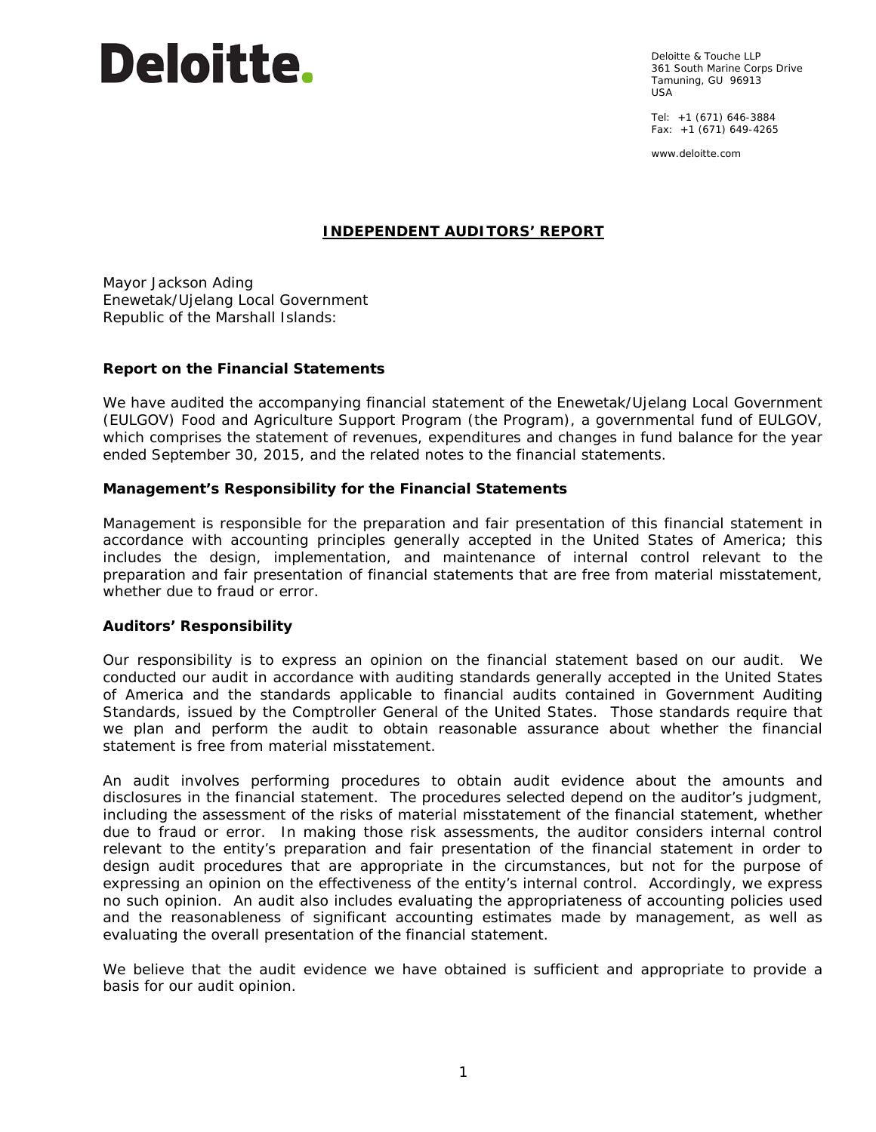Deloitte & Touche LLP 361 South Marine Corps Drive Tamuning, GU 96913 USA

Tel: +1 (671) 646-3884 Fax: +1 (671) 649-4265

www.deloitte.com

# **INDEPENDENT AUDITORS' REPORT**

Mayor Jackson Ading Enewetak/Ujelang Local Government Republic of the Marshall Islands:

#### **Report on the Financial Statements**

We have audited the accompanying financial statement of the Enewetak/Ujelang Local Government (EULGOV) Food and Agriculture Support Program (the Program), a governmental fund of EULGOV, which comprises the statement of revenues, expenditures and changes in fund balance for the year ended September 30, 2015, and the related notes to the financial statements.

#### *Management's Responsibility for the Financial Statements*

Management is responsible for the preparation and fair presentation of this financial statement in accordance with accounting principles generally accepted in the United States of America; this includes the design, implementation, and maintenance of internal control relevant to the preparation and fair presentation of financial statements that are free from material misstatement, whether due to fraud or error.

#### *Auditors' Responsibility*

Our responsibility is to express an opinion on the financial statement based on our audit. We conducted our audit in accordance with auditing standards generally accepted in the United States of America and the standards applicable to financial audits contained in *Government Auditing Standards*, issued by the Comptroller General of the United States. Those standards require that we plan and perform the audit to obtain reasonable assurance about whether the financial statement is free from material misstatement.

An audit involves performing procedures to obtain audit evidence about the amounts and disclosures in the financial statement. The procedures selected depend on the auditor's judgment, including the assessment of the risks of material misstatement of the financial statement, whether due to fraud or error. In making those risk assessments, the auditor considers internal control relevant to the entity's preparation and fair presentation of the financial statement in order to design audit procedures that are appropriate in the circumstances, but not for the purpose of expressing an opinion on the effectiveness of the entity's internal control. Accordingly, we express no such opinion. An audit also includes evaluating the appropriateness of accounting policies used and the reasonableness of significant accounting estimates made by management, as well as evaluating the overall presentation of the financial statement.

We believe that the audit evidence we have obtained is sufficient and appropriate to provide a basis for our audit opinion.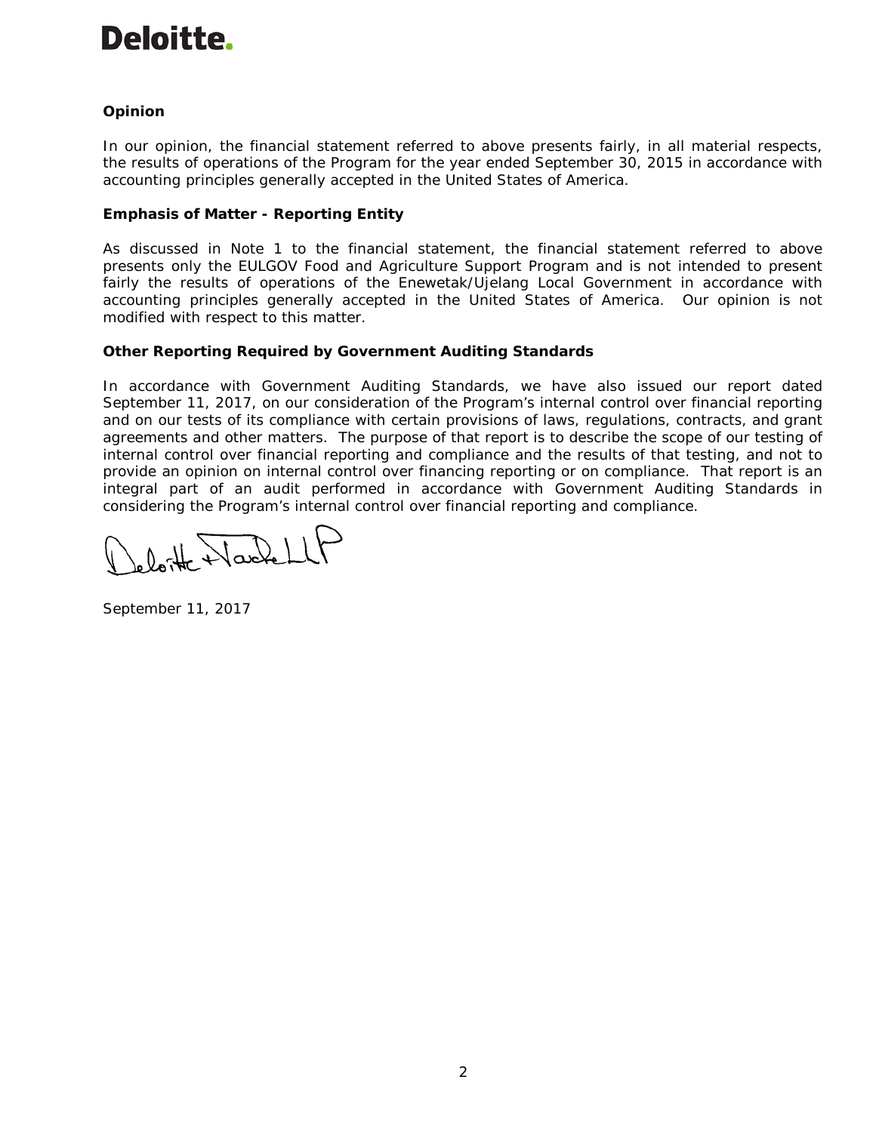# *Opinion*

In our opinion, the financial statement referred to above presents fairly, in all material respects, the results of operations of the Program for the year ended September 30, 2015 in accordance with accounting principles generally accepted in the United States of America.

# **Emphasis of Matter - Reporting Entity**

As discussed in Note 1 to the financial statement, the financial statement referred to above presents only the EULGOV Food and Agriculture Support Program and is not intended to present fairly the results of operations of the Enewetak/Ujelang Local Government in accordance with accounting principles generally accepted in the United States of America. Our opinion is not modified with respect to this matter.

# **Other Reporting Required by** *Government Auditing Standards*

In accordance with *Government Auditing Standards*, we have also issued our report dated September 11, 2017, on our consideration of the Program's internal control over financial reporting and on our tests of its compliance with certain provisions of laws, regulations, contracts, and grant agreements and other matters. The purpose of that report is to describe the scope of our testing of internal control over financial reporting and compliance and the results of that testing, and not to provide an opinion on internal control over financing reporting or on compliance. That report is an integral part of an audit performed in accordance with *Government Auditing Standards* in considering the Program's internal control over financial reporting and compliance.

bitte Nachell

September 11, 2017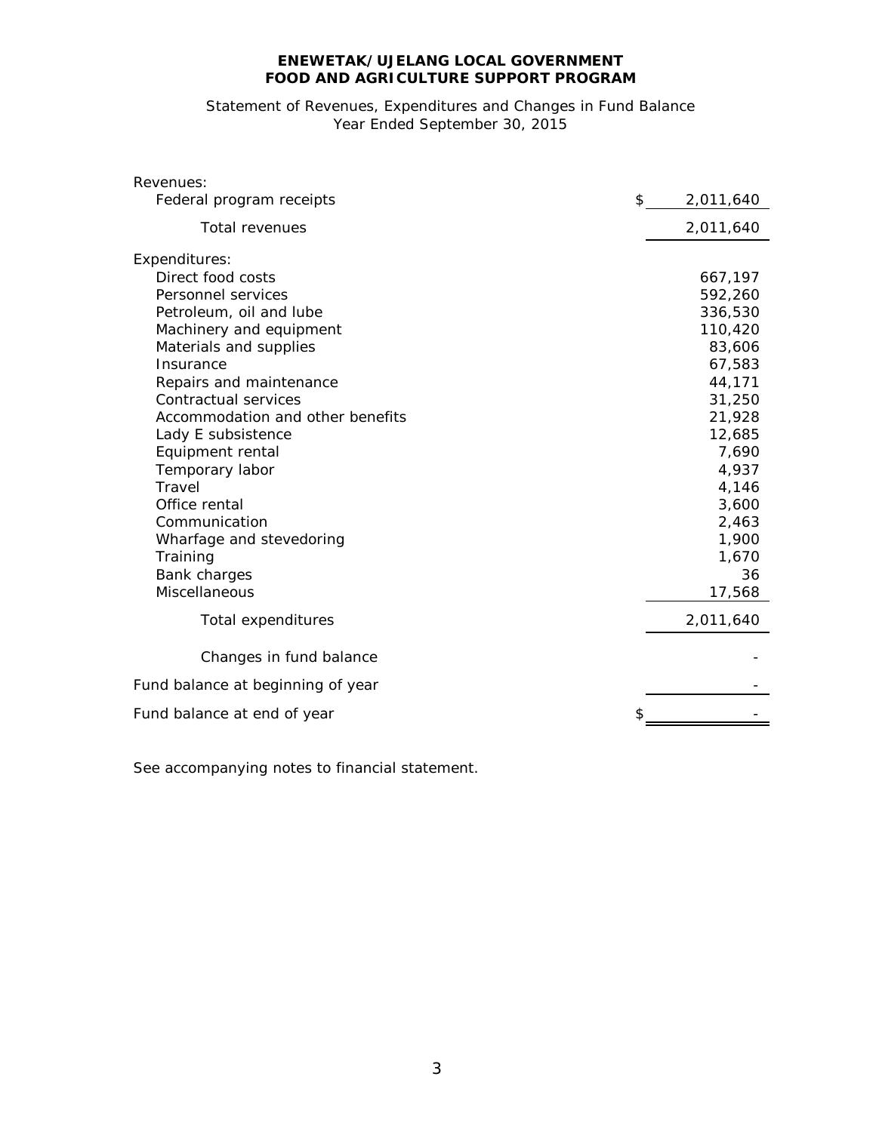# Statement of Revenues, Expenditures and Changes in Fund Balance Year Ended September 30, 2015

| Revenues:                         |    |           |
|-----------------------------------|----|-----------|
| Federal program receipts          | \$ | 2,011,640 |
| <b>Total revenues</b>             |    | 2,011,640 |
| Expenditures:                     |    |           |
| Direct food costs                 |    | 667,197   |
| Personnel services                |    | 592,260   |
| Petroleum, oil and lube           |    | 336,530   |
| Machinery and equipment           |    | 110,420   |
| Materials and supplies            |    | 83,606    |
| Insurance                         |    | 67,583    |
| Repairs and maintenance           |    | 44,171    |
| Contractual services              |    | 31,250    |
| Accommodation and other benefits  |    | 21,928    |
| Lady E subsistence                |    | 12,685    |
| Equipment rental                  |    | 7,690     |
| Temporary labor                   |    | 4,937     |
| Travel                            |    | 4,146     |
| Office rental                     |    | 3,600     |
| Communication                     |    | 2,463     |
| Wharfage and stevedoring          |    | 1,900     |
| Training                          |    | 1,670     |
| Bank charges                      |    | 36        |
| <b>Miscellaneous</b>              |    | 17,568    |
| Total expenditures                |    | 2,011,640 |
| Changes in fund balance           |    |           |
|                                   |    |           |
| Fund balance at beginning of year |    |           |
| Fund balance at end of year       |    |           |
|                                   |    |           |

See accompanying notes to financial statement.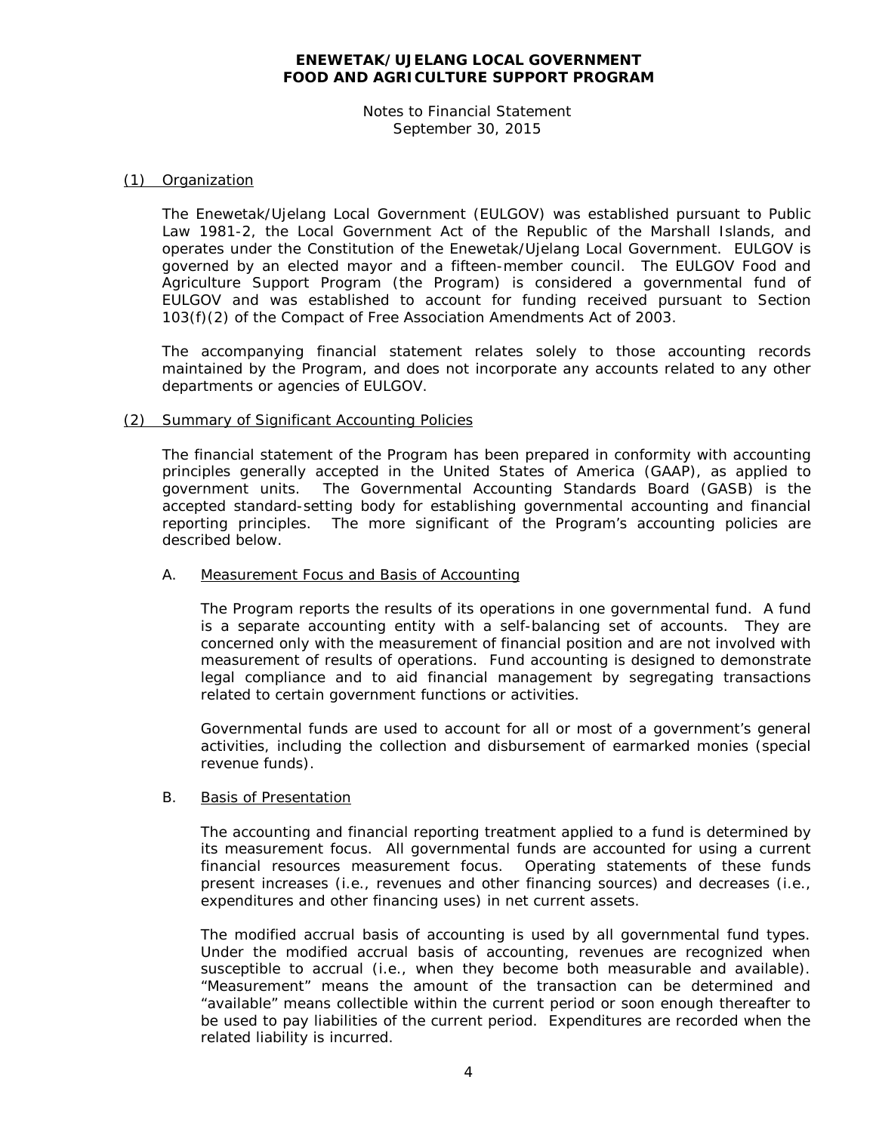Notes to Financial Statement September 30, 2015

#### (1) Organization

The Enewetak/Ujelang Local Government (EULGOV) was established pursuant to Public Law 1981-2, the Local Government Act of the Republic of the Marshall Islands, and operates under the Constitution of the Enewetak/Ujelang Local Government. EULGOV is governed by an elected mayor and a fifteen-member council. The EULGOV Food and Agriculture Support Program (the Program) is considered a governmental fund of EULGOV and was established to account for funding received pursuant to Section 103(f)(2) of the Compact of Free Association Amendments Act of 2003.

The accompanying financial statement relates solely to those accounting records maintained by the Program, and does not incorporate any accounts related to any other departments or agencies of EULGOV.

#### (2) Summary of Significant Accounting Policies

The financial statement of the Program has been prepared in conformity with accounting principles generally accepted in the United States of America (GAAP), as applied to government units. The Governmental Accounting Standards Board (GASB) is the accepted standard-setting body for establishing governmental accounting and financial reporting principles. The more significant of the Program's accounting policies are described below.

#### A. Measurement Focus and Basis of Accounting

The Program reports the results of its operations in one governmental fund. A fund is a separate accounting entity with a self-balancing set of accounts. They are concerned only with the measurement of financial position and are not involved with measurement of results of operations. Fund accounting is designed to demonstrate legal compliance and to aid financial management by segregating transactions related to certain government functions or activities.

Governmental funds are used to account for all or most of a government's general activities, including the collection and disbursement of earmarked monies (special revenue funds).

#### B. Basis of Presentation

The accounting and financial reporting treatment applied to a fund is determined by its measurement focus. All governmental funds are accounted for using a current financial resources measurement focus. Operating statements of these funds present increases (i.e., revenues and other financing sources) and decreases (i.e., expenditures and other financing uses) in net current assets.

The modified accrual basis of accounting is used by all governmental fund types. Under the modified accrual basis of accounting, revenues are recognized when susceptible to accrual (i.e., when they become both measurable and available). "Measurement" means the amount of the transaction can be determined and "available" means collectible within the current period or soon enough thereafter to be used to pay liabilities of the current period. Expenditures are recorded when the related liability is incurred.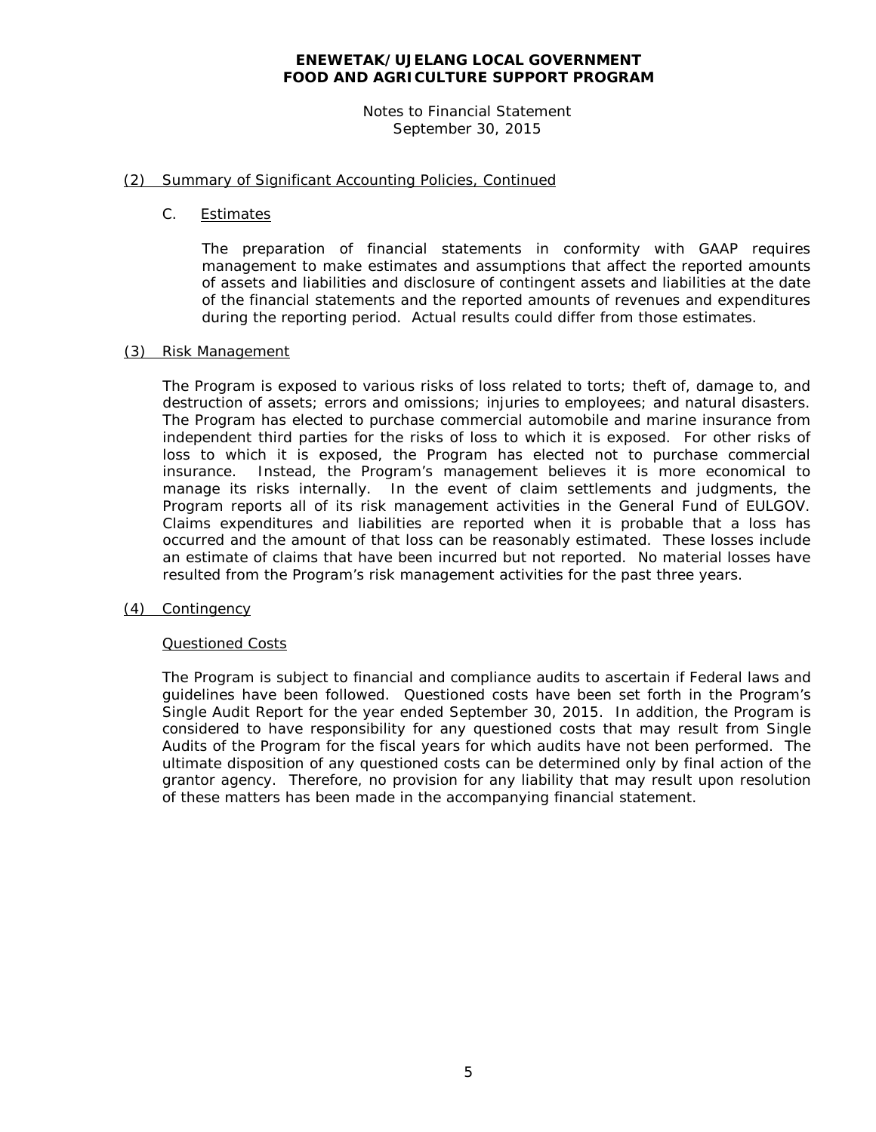Notes to Financial Statement September 30, 2015

#### (2) Summary of Significant Accounting Policies, Continued

C. Estimates

The preparation of financial statements in conformity with GAAP requires management to make estimates and assumptions that affect the reported amounts of assets and liabilities and disclosure of contingent assets and liabilities at the date of the financial statements and the reported amounts of revenues and expenditures during the reporting period. Actual results could differ from those estimates.

#### (3) Risk Management

The Program is exposed to various risks of loss related to torts; theft of, damage to, and destruction of assets; errors and omissions; injuries to employees; and natural disasters. The Program has elected to purchase commercial automobile and marine insurance from independent third parties for the risks of loss to which it is exposed. For other risks of loss to which it is exposed, the Program has elected not to purchase commercial insurance. Instead, the Program's management believes it is more economical to manage its risks internally. In the event of claim settlements and judgments, the Program reports all of its risk management activities in the General Fund of EULGOV. Claims expenditures and liabilities are reported when it is probable that a loss has occurred and the amount of that loss can be reasonably estimated. These losses include an estimate of claims that have been incurred but not reported. No material losses have resulted from the Program's risk management activities for the past three years.

#### (4) Contingency

#### Questioned Costs

The Program is subject to financial and compliance audits to ascertain if Federal laws and guidelines have been followed. Questioned costs have been set forth in the Program's Single Audit Report for the year ended September 30, 2015. In addition, the Program is considered to have responsibility for any questioned costs that may result from Single Audits of the Program for the fiscal years for which audits have not been performed. The ultimate disposition of any questioned costs can be determined only by final action of the grantor agency. Therefore, no provision for any liability that may result upon resolution of these matters has been made in the accompanying financial statement.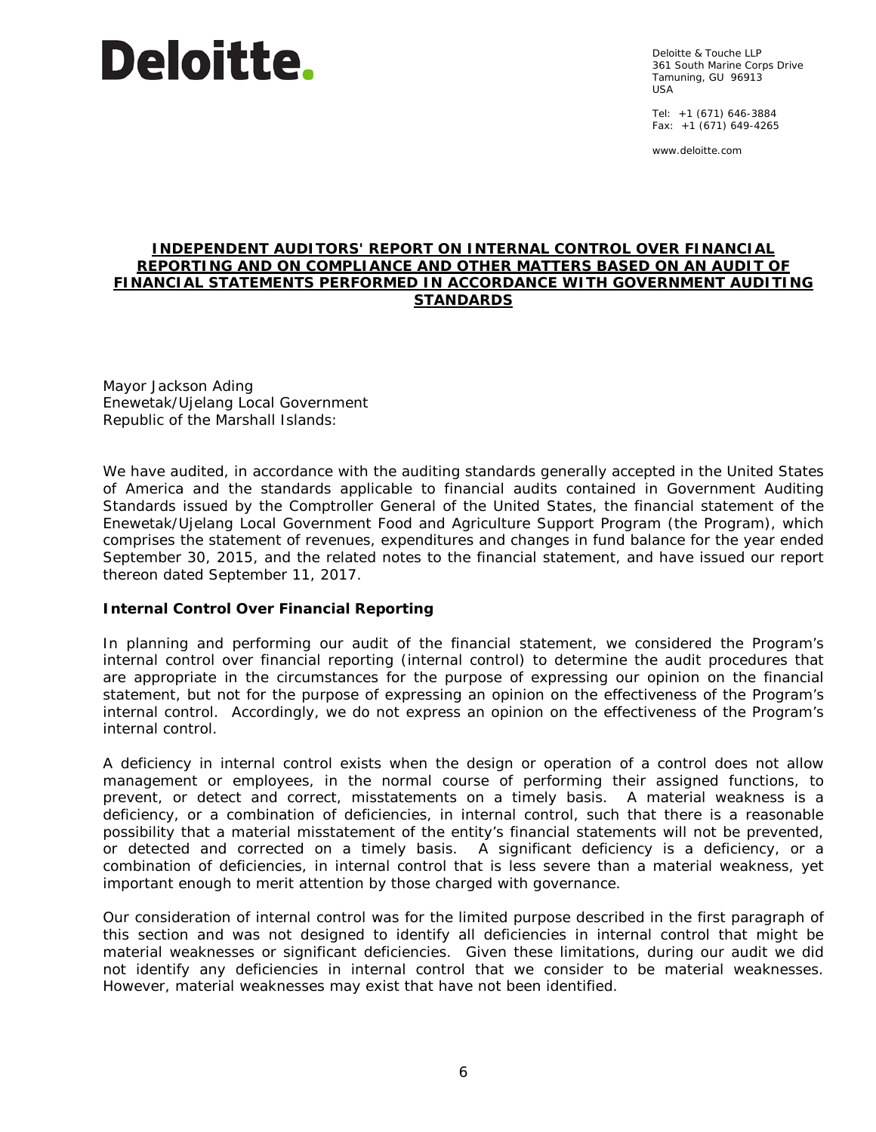Deloitte & Touche LLP 361 South Marine Corps Drive Tamuning, GU 96913 USA

Tel: +1 (671) 646-3884 Fax: +1 (671) 649-4265

www.deloitte.com

#### **INDEPENDENT AUDITORS' REPORT ON INTERNAL CONTROL OVER FINANCIAL REPORTING AND ON COMPLIANCE AND OTHER MATTERS BASED ON AN AUDIT OF FINANCIAL STATEMENTS PERFORMED IN ACCORDANCE WITH** *GOVERNMENT AUDITING STANDARDS*

Mayor Jackson Ading Enewetak/Ujelang Local Government Republic of the Marshall Islands:

We have audited, in accordance with the auditing standards generally accepted in the United States of America and the standards applicable to financial audits contained in *Government Auditing Standards* issued by the Comptroller General of the United States, the financial statement of the Enewetak/Ujelang Local Government Food and Agriculture Support Program (the Program), which comprises the statement of revenues, expenditures and changes in fund balance for the year ended September 30, 2015, and the related notes to the financial statement, and have issued our report thereon dated September 11, 2017.

#### **Internal Control Over Financial Reporting**

In planning and performing our audit of the financial statement, we considered the Program's internal control over financial reporting (internal control) to determine the audit procedures that are appropriate in the circumstances for the purpose of expressing our opinion on the financial statement, but not for the purpose of expressing an opinion on the effectiveness of the Program's internal control. Accordingly, we do not express an opinion on the effectiveness of the Program's internal control.

A *deficiency in internal control* exists when the design or operation of a control does not allow management or employees, in the normal course of performing their assigned functions, to prevent, or detect and correct, misstatements on a timely basis. A *material weakness* is a deficiency, or a combination of deficiencies, in internal control, such that there is a reasonable possibility that a material misstatement of the entity's financial statements will not be prevented, or detected and corrected on a timely basis. A *significant deficiency* is a deficiency, or a combination of deficiencies, in internal control that is less severe than a material weakness, yet important enough to merit attention by those charged with governance.

Our consideration of internal control was for the limited purpose described in the first paragraph of this section and was not designed to identify all deficiencies in internal control that might be material weaknesses or significant deficiencies. Given these limitations, during our audit we did not identify any deficiencies in internal control that we consider to be material weaknesses. However, material weaknesses may exist that have not been identified.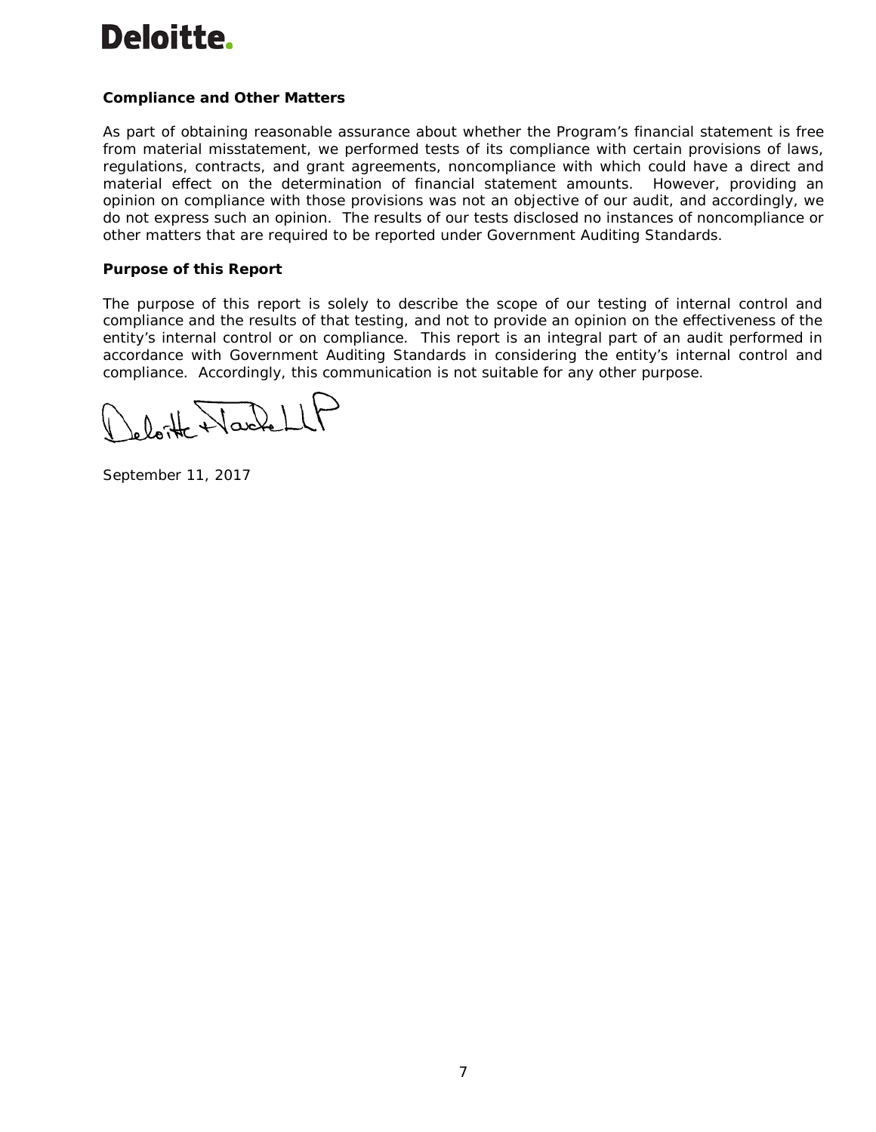## **Compliance and Other Matters**

As part of obtaining reasonable assurance about whether the Program's financial statement is free from material misstatement, we performed tests of its compliance with certain provisions of laws, regulations, contracts, and grant agreements, noncompliance with which could have a direct and material effect on the determination of financial statement amounts. However, providing an opinion on compliance with those provisions was not an objective of our audit, and accordingly, we do not express such an opinion. The results of our tests disclosed no instances of noncompliance or other matters that are required to be reported under *Government Auditing Standards*.

#### **Purpose of this Report**

The purpose of this report is solely to describe the scope of our testing of internal control and compliance and the results of that testing, and not to provide an opinion on the effectiveness of the entity's internal control or on compliance. This report is an integral part of an audit performed in accordance with *Government Auditing Standards* in considering the entity's internal control and compliance. Accordingly, this communication is not suitable for any other purpose.

 $0.1$  Nackell

September 11, 2017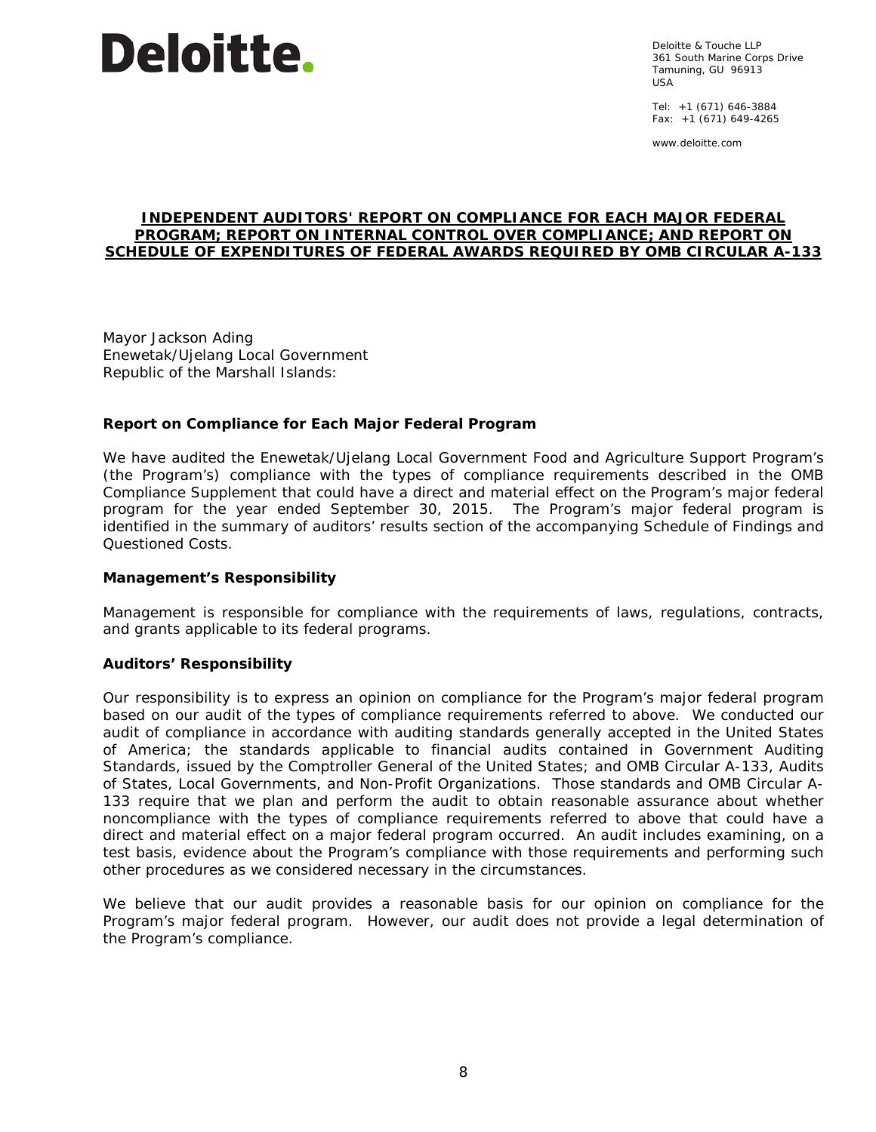

Deloitte & Touche LLP 361 South Marine Corps Drive Tamuning, GU 96913 USA

Tel: +1 (671) 646-3884 Fax: +1 (671) 649-4265

www.deloitte.com

#### **INDEPENDENT AUDITORS' REPORT ON COMPLIANCE FOR EACH MAJOR FEDERAL PROGRAM; REPORT ON INTERNAL CONTROL OVER COMPLIANCE; AND REPORT ON SCHEDULE OF EXPENDITURES OF FEDERAL AWARDS REQUIRED BY OMB CIRCULAR A-133**

Mayor Jackson Ading Enewetak/Ujelang Local Government Republic of the Marshall Islands:

#### **Report on Compliance for Each Major Federal Program**

We have audited the Enewetak/Ujelang Local Government Food and Agriculture Support Program's (the Program's) compliance with the types of compliance requirements described in the *OMB Compliance Supplement* that could have a direct and material effect on the Program's major federal program for the year ended September 30, 2015. The Program's major federal program is identified in the summary of auditors' results section of the accompanying Schedule of Findings and Questioned Costs.

#### *Management's Responsibility*

Management is responsible for compliance with the requirements of laws, regulations, contracts, and grants applicable to its federal programs.

#### *Auditors' Responsibility*

Our responsibility is to express an opinion on compliance for the Program's major federal program based on our audit of the types of compliance requirements referred to above. We conducted our audit of compliance in accordance with auditing standards generally accepted in the United States of America; the standards applicable to financial audits contained in *Government Auditing Standards*, issued by the Comptroller General of the United States; and OMB Circular A-133, *Audits of States, Local Governments, and Non-Profit Organizations*. Those standards and OMB Circular A-133 require that we plan and perform the audit to obtain reasonable assurance about whether noncompliance with the types of compliance requirements referred to above that could have a direct and material effect on a major federal program occurred. An audit includes examining, on a test basis, evidence about the Program's compliance with those requirements and performing such other procedures as we considered necessary in the circumstances.

We believe that our audit provides a reasonable basis for our opinion on compliance for the Program's major federal program. However, our audit does not provide a legal determination of the Program's compliance.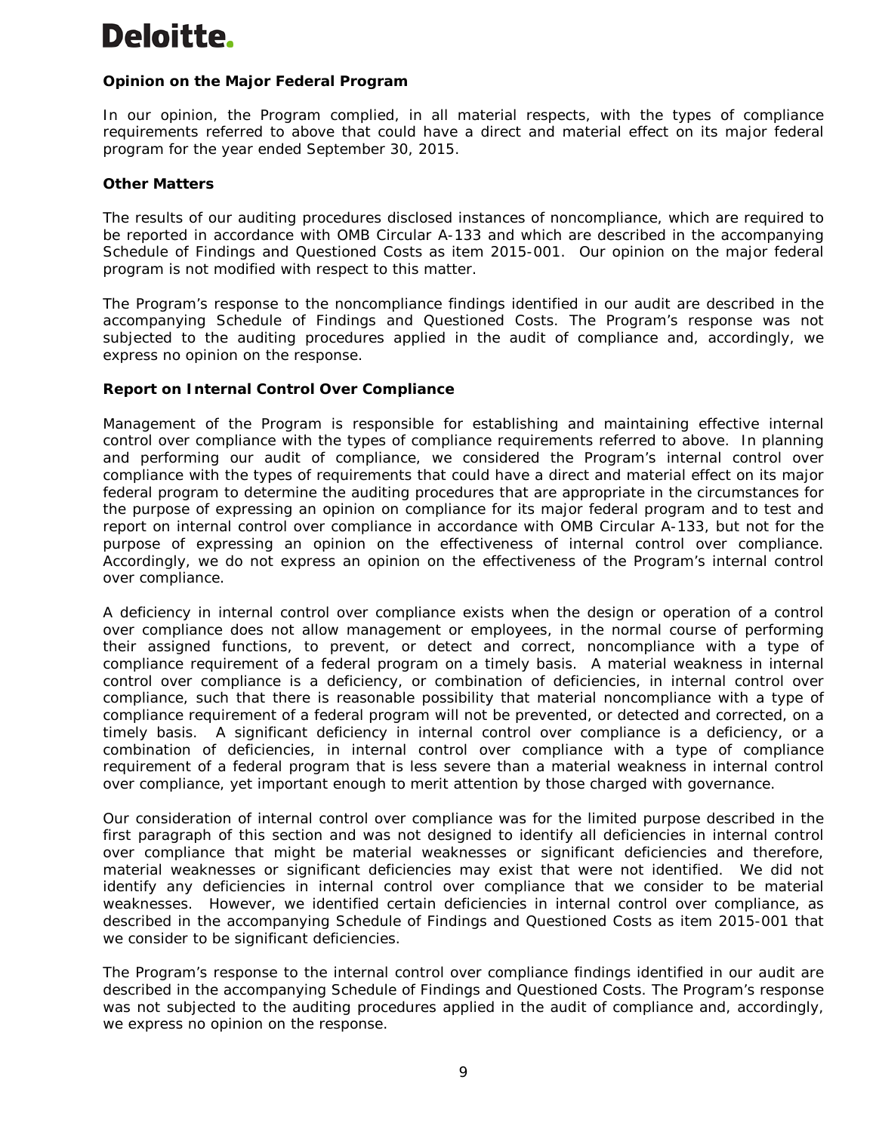# *Opinion on the Major Federal Program*

In our opinion, the Program complied, in all material respects, with the types of compliance requirements referred to above that could have a direct and material effect on its major federal program for the year ended September 30, 2015.

#### *Other Matters*

The results of our auditing procedures disclosed instances of noncompliance, which are required to be reported in accordance with OMB Circular A-133 and which are described in the accompanying Schedule of Findings and Questioned Costs as item 2015-001. Our opinion on the major federal program is not modified with respect to this matter.

The Program's response to the noncompliance findings identified in our audit are described in the accompanying Schedule of Findings and Questioned Costs. The Program's response was not subjected to the auditing procedures applied in the audit of compliance and, accordingly, we express no opinion on the response.

#### **Report on Internal Control Over Compliance**

Management of the Program is responsible for establishing and maintaining effective internal control over compliance with the types of compliance requirements referred to above. In planning and performing our audit of compliance, we considered the Program's internal control over compliance with the types of requirements that could have a direct and material effect on its major federal program to determine the auditing procedures that are appropriate in the circumstances for the purpose of expressing an opinion on compliance for its major federal program and to test and report on internal control over compliance in accordance with OMB Circular A-133, but not for the purpose of expressing an opinion on the effectiveness of internal control over compliance. Accordingly, we do not express an opinion on the effectiveness of the Program's internal control over compliance.

A *deficiency in internal control over compliance* exists when the design or operation of a control over compliance does not allow management or employees, in the normal course of performing their assigned functions, to prevent, or detect and correct, noncompliance with a type of compliance requirement of a federal program on a timely basis. A *material weakness in internal control over compliance* is a deficiency, or combination of deficiencies, in internal control over compliance, such that there is reasonable possibility that material noncompliance with a type of compliance requirement of a federal program will not be prevented, or detected and corrected, on a timely basis. A *significant deficiency in internal control over compliance* is a deficiency, or a combination of deficiencies, in internal control over compliance with a type of compliance requirement of a federal program that is less severe than a material weakness in internal control over compliance, yet important enough to merit attention by those charged with governance.

Our consideration of internal control over compliance was for the limited purpose described in the first paragraph of this section and was not designed to identify all deficiencies in internal control over compliance that might be material weaknesses or significant deficiencies and therefore, material weaknesses or significant deficiencies may exist that were not identified. We did not identify any deficiencies in internal control over compliance that we consider to be material weaknesses. However, we identified certain deficiencies in internal control over compliance, as described in the accompanying Schedule of Findings and Questioned Costs as item 2015-001 that we consider to be significant deficiencies.

The Program's response to the internal control over compliance findings identified in our audit are described in the accompanying Schedule of Findings and Questioned Costs. The Program's response was not subjected to the auditing procedures applied in the audit of compliance and, accordingly, we express no opinion on the response.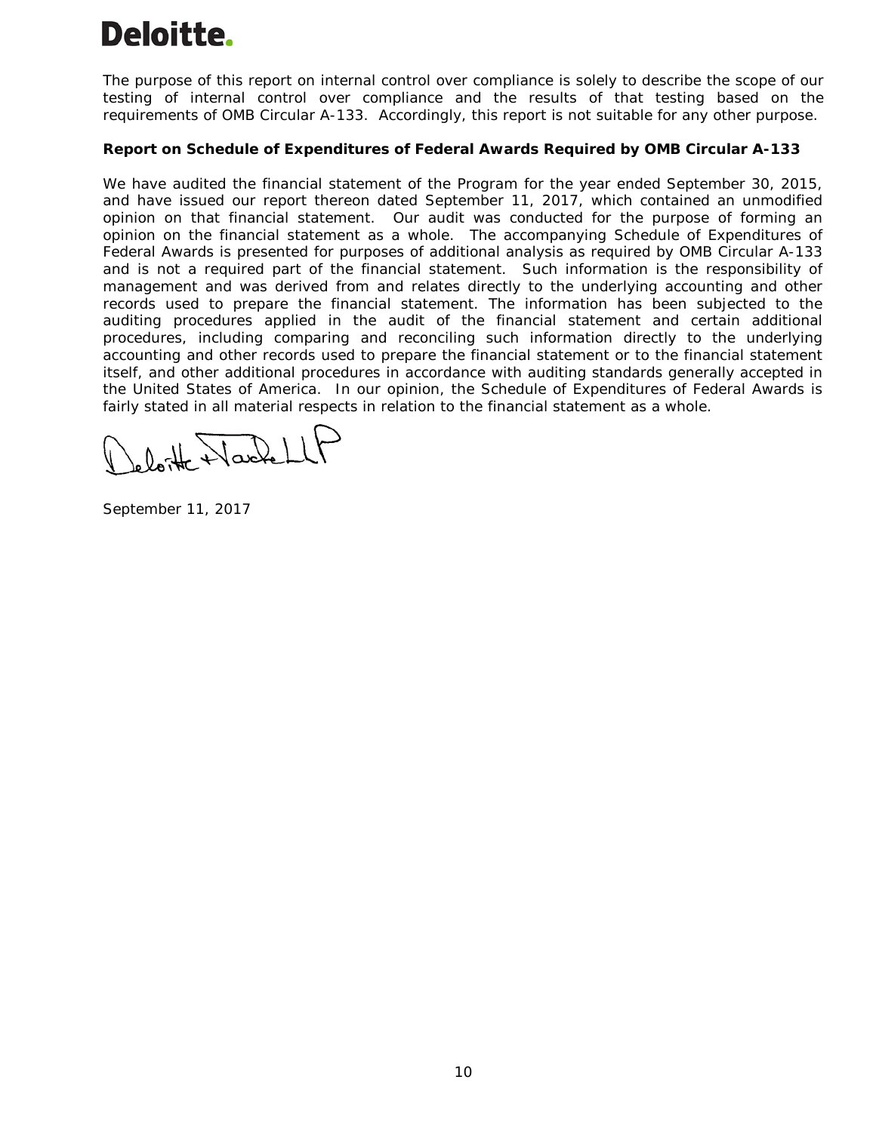The purpose of this report on internal control over compliance is solely to describe the scope of our testing of internal control over compliance and the results of that testing based on the requirements of OMB Circular A-133. Accordingly, this report is not suitable for any other purpose.

# **Report on Schedule of Expenditures of Federal Awards Required by OMB Circular A-133**

We have audited the financial statement of the Program for the year ended September 30, 2015, and have issued our report thereon dated September 11, 2017, which contained an unmodified opinion on that financial statement. Our audit was conducted for the purpose of forming an opinion on the financial statement as a whole. The accompanying Schedule of Expenditures of Federal Awards is presented for purposes of additional analysis as required by OMB Circular A-133 and is not a required part of the financial statement. Such information is the responsibility of management and was derived from and relates directly to the underlying accounting and other records used to prepare the financial statement. The information has been subjected to the auditing procedures applied in the audit of the financial statement and certain additional procedures, including comparing and reconciling such information directly to the underlying accounting and other records used to prepare the financial statement or to the financial statement itself, and other additional procedures in accordance with auditing standards generally accepted in the United States of America. In our opinion, the Schedule of Expenditures of Federal Awards is fairly stated in all material respects in relation to the financial statement as a whole.

September 11, 2017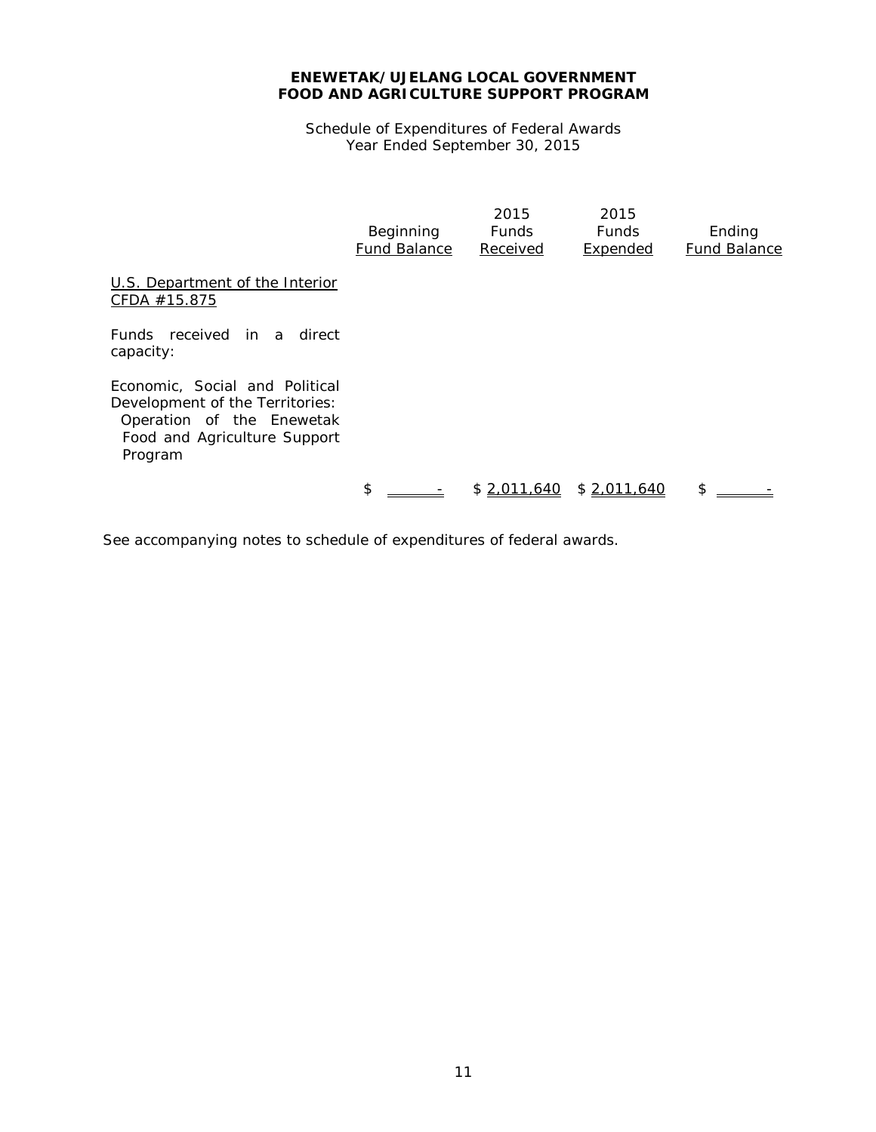Schedule of Expenditures of Federal Awards Year Ended September 30, 2015

|                                                                                                                                           | Beginning<br><b>Fund Balance</b> | 2015<br><b>Funds</b><br>Received | 2015<br><b>Funds</b><br>Expended | Ending<br><b>Fund Balance</b> |
|-------------------------------------------------------------------------------------------------------------------------------------------|----------------------------------|----------------------------------|----------------------------------|-------------------------------|
| U.S. Department of the Interior<br>CFDA #15.875                                                                                           |                                  |                                  |                                  |                               |
| Funds received in a direct<br>capacity:                                                                                                   |                                  |                                  |                                  |                               |
| Economic. Social and Political<br>Development of the Territories:<br>Operation of the Enewetak<br>Food and Agriculture Support<br>Program |                                  |                                  |                                  |                               |
|                                                                                                                                           | \$                               | \$2,011,640                      | \$2,011,640                      | \$                            |

See accompanying notes to schedule of expenditures of federal awards.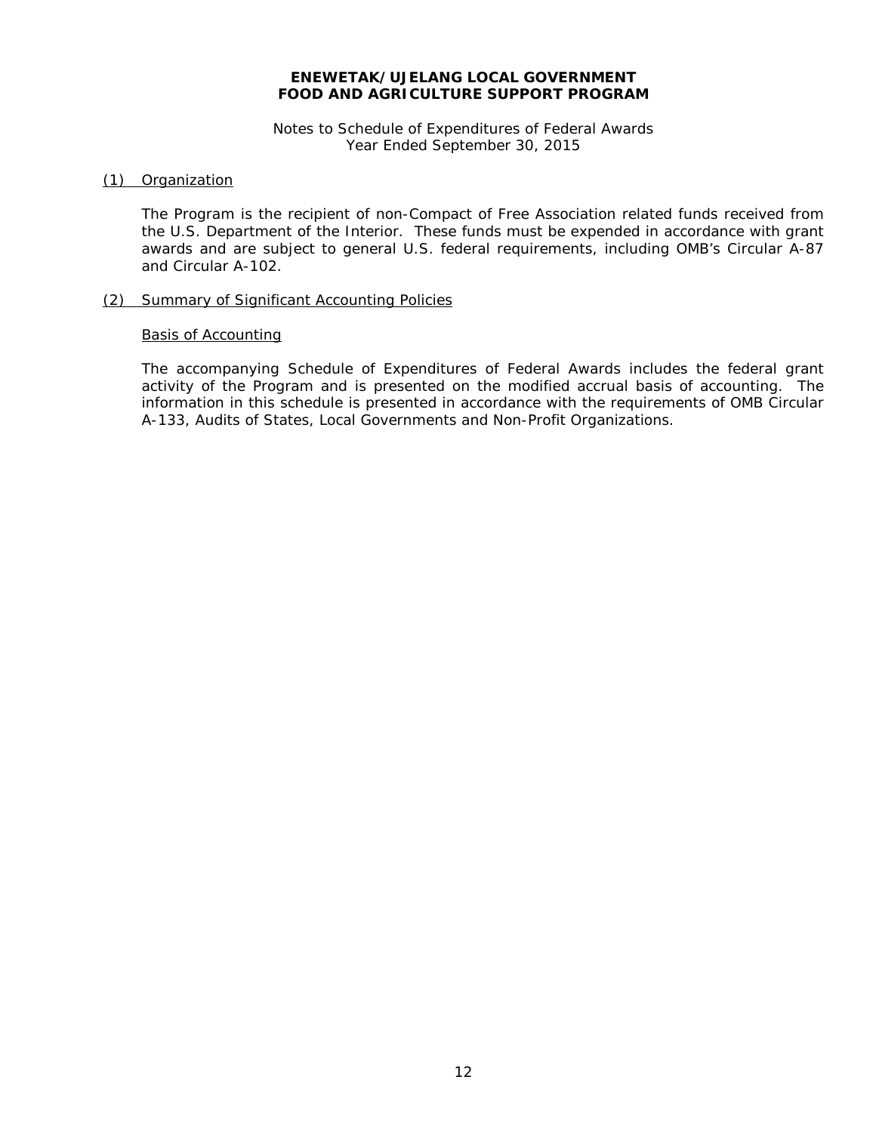#### Notes to Schedule of Expenditures of Federal Awards Year Ended September 30, 2015

#### (1) Organization

The Program is the recipient of non-Compact of Free Association related funds received from the U.S. Department of the Interior. These funds must be expended in accordance with grant awards and are subject to general U.S. federal requirements, including OMB's Circular A-87 and Circular A-102.

#### (2) Summary of Significant Accounting Policies

#### Basis of Accounting

The accompanying Schedule of Expenditures of Federal Awards includes the federal grant activity of the Program and is presented on the modified accrual basis of accounting. The information in this schedule is presented in accordance with the requirements of OMB Circular A-133, *Audits of States, Local Governments and Non-Profit Organizations*.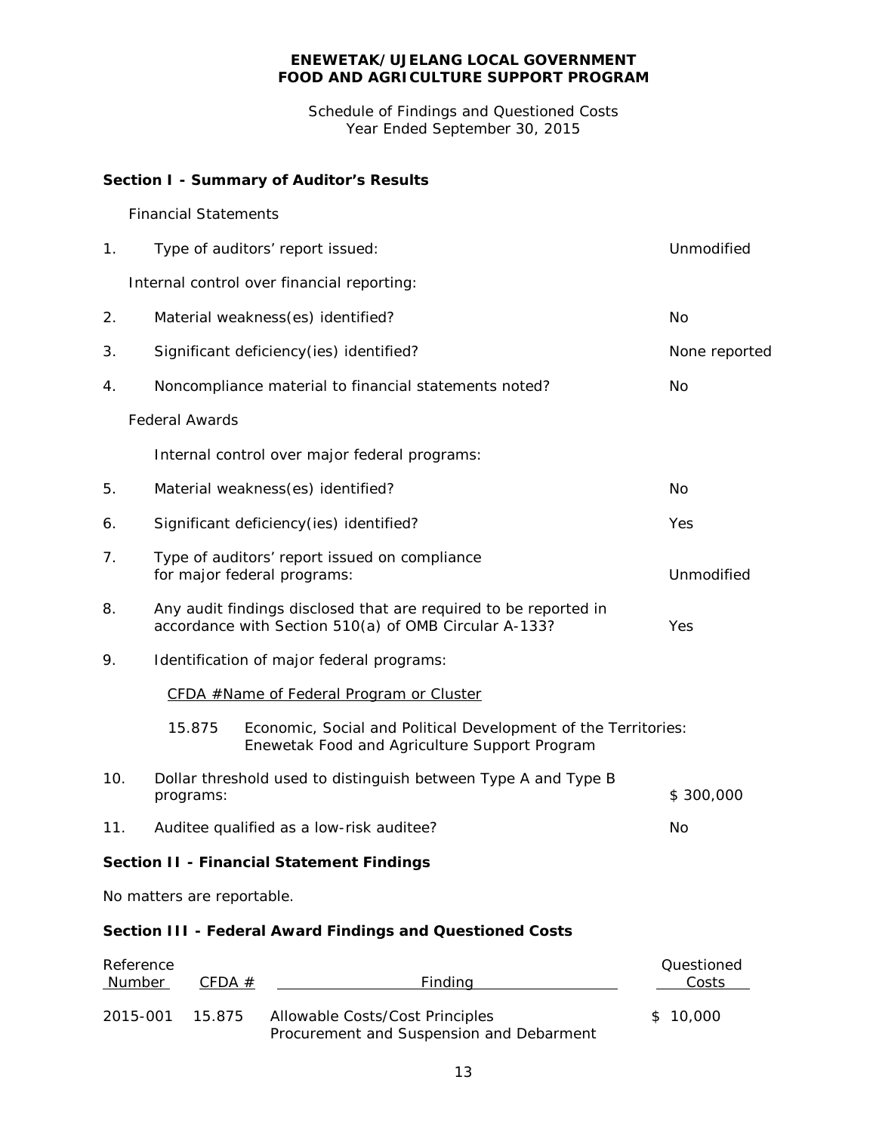Schedule of Findings and Questioned Costs Year Ended September 30, 2015

# **Section I - Summary of Auditor's Results**

### *Financial Statements*

| 1.  | Type of auditors' report issued:                                                                                          | Unmodified     |  |
|-----|---------------------------------------------------------------------------------------------------------------------------|----------------|--|
|     | Internal control over financial reporting:                                                                                |                |  |
| 2.  | Material weakness(es) identified?                                                                                         | No             |  |
| 3.  | Significant deficiency(ies) identified?                                                                                   | None reported  |  |
| 4.  | Noncompliance material to financial statements noted?                                                                     | No             |  |
|     | <b>Federal Awards</b>                                                                                                     |                |  |
|     | Internal control over major federal programs:                                                                             |                |  |
| 5.  | Material weakness(es) identified?                                                                                         | N <sub>O</sub> |  |
| 6.  | Significant deficiency(ies) identified?                                                                                   | Yes            |  |
| 7.  | Type of auditors' report issued on compliance<br>for major federal programs:                                              | Unmodified     |  |
| 8.  | Any audit findings disclosed that are required to be reported in<br>accordance with Section 510(a) of OMB Circular A-133? | Yes            |  |
| 9.  | Identification of major federal programs:                                                                                 |                |  |
|     | CFDA #Name of Federal Program or Cluster                                                                                  |                |  |
|     | 15.875<br>Economic, Social and Political Development of the Territories:<br>Enewetak Food and Agriculture Support Program |                |  |
| 10. | Dollar threshold used to distinguish between Type A and Type B<br>programs:                                               | \$300,000      |  |
| 11. | Auditee qualified as a low-risk auditee?                                                                                  | No             |  |
|     | <b>Section II - Financial Statement Findings</b>                                                                          |                |  |
|     | No matters are reportable.                                                                                                |                |  |
|     | Section III - Federal Award Findings and Questioned Costs                                                                 |                |  |
|     | Reference                                                                                                                 | Questioned     |  |

| Number   | CFDA # | Findina                                                                     | Costs    |
|----------|--------|-----------------------------------------------------------------------------|----------|
| 2015-001 | 15.875 | Allowable Costs/Cost Principles<br>Procurement and Suspension and Debarment | \$10,000 |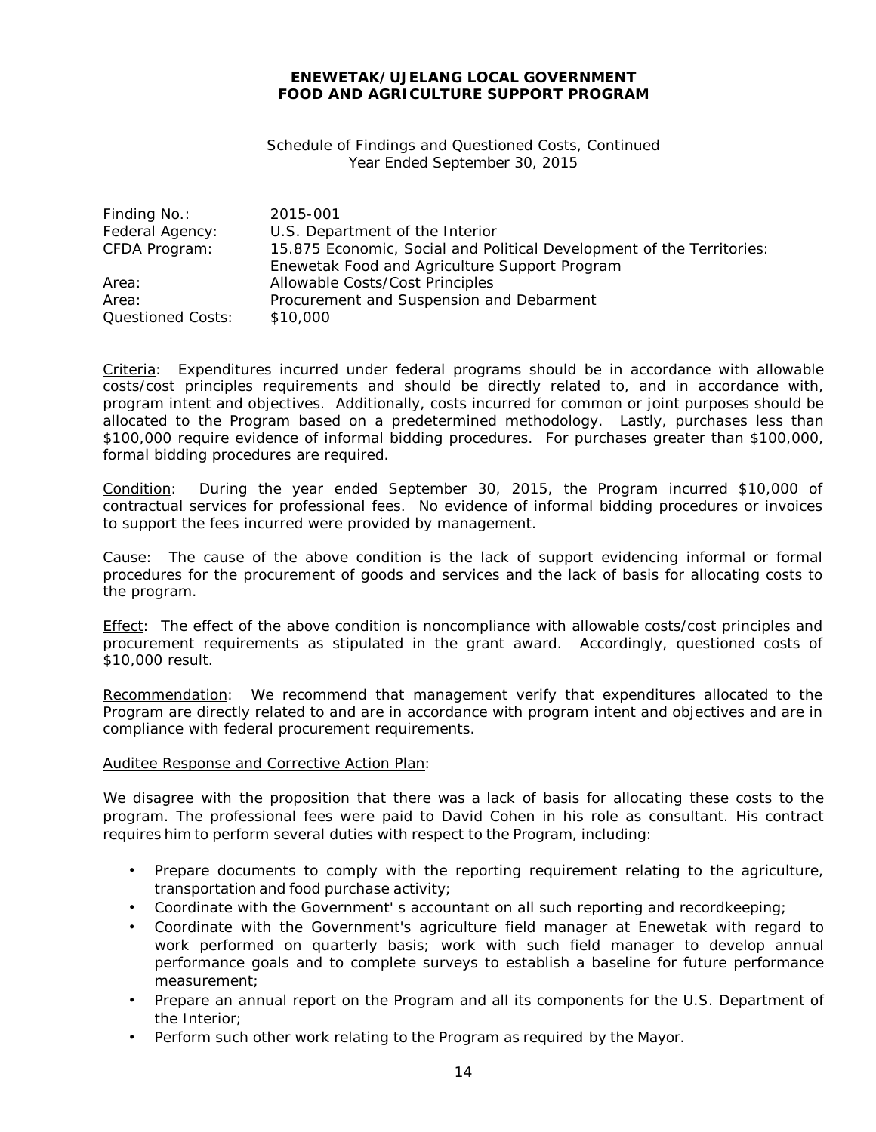#### Schedule of Findings and Questioned Costs, Continued Year Ended September 30, 2015

| Finding No.:             | 2015-001                                                              |
|--------------------------|-----------------------------------------------------------------------|
| Federal Agency:          | U.S. Department of the Interior                                       |
| CFDA Program:            | 15.875 Economic, Social and Political Development of the Territories: |
|                          | Enewetak Food and Agriculture Support Program                         |
| Area:                    | Allowable Costs/Cost Principles                                       |
| Area:                    | Procurement and Suspension and Debarment                              |
| <b>Questioned Costs:</b> | \$10,000                                                              |

Criteria: Expenditures incurred under federal programs should be in accordance with allowable costs/cost principles requirements and should be directly related to, and in accordance with, program intent and objectives. Additionally, costs incurred for common or joint purposes should be allocated to the Program based on a predetermined methodology. Lastly, purchases less than \$100,000 require evidence of informal bidding procedures. For purchases greater than \$100,000, formal bidding procedures are required.

Condition: During the year ended September 30, 2015, the Program incurred \$10,000 of contractual services for professional fees. No evidence of informal bidding procedures or invoices to support the fees incurred were provided by management.

Cause: The cause of the above condition is the lack of support evidencing informal or formal procedures for the procurement of goods and services and the lack of basis for allocating costs to the program.

Effect: The effect of the above condition is noncompliance with allowable costs/cost principles and procurement requirements as stipulated in the grant award. Accordingly, questioned costs of \$10,000 result.

Recommendation: We recommend that management verify that expenditures allocated to the Program are directly related to and are in accordance with program intent and objectives and are in compliance with federal procurement requirements.

#### Auditee Response and Corrective Action Plan:

We disagree with the proposition that there was a lack of basis for allocating these costs to the program. The professional fees were paid to David Cohen in his role as consultant. His contract requires him to perform several duties with respect to the Program, including:

- Prepare documents to comply with the reporting requirement relating to the agriculture, transportation and food purchase activity;
- Coordinate with the Government' s accountant on all such reporting and recordkeeping;
- Coordinate with the Government's agriculture field manager at Enewetak with regard to work performed on quarterly basis; work with such field manager to develop annual performance goals and to complete surveys to establish a baseline for future performance measurement;
- Prepare an annual report on the Program and all its components for the U.S. Department of the Interior;
- Perform such other work relating to the Program as required by the Mayor.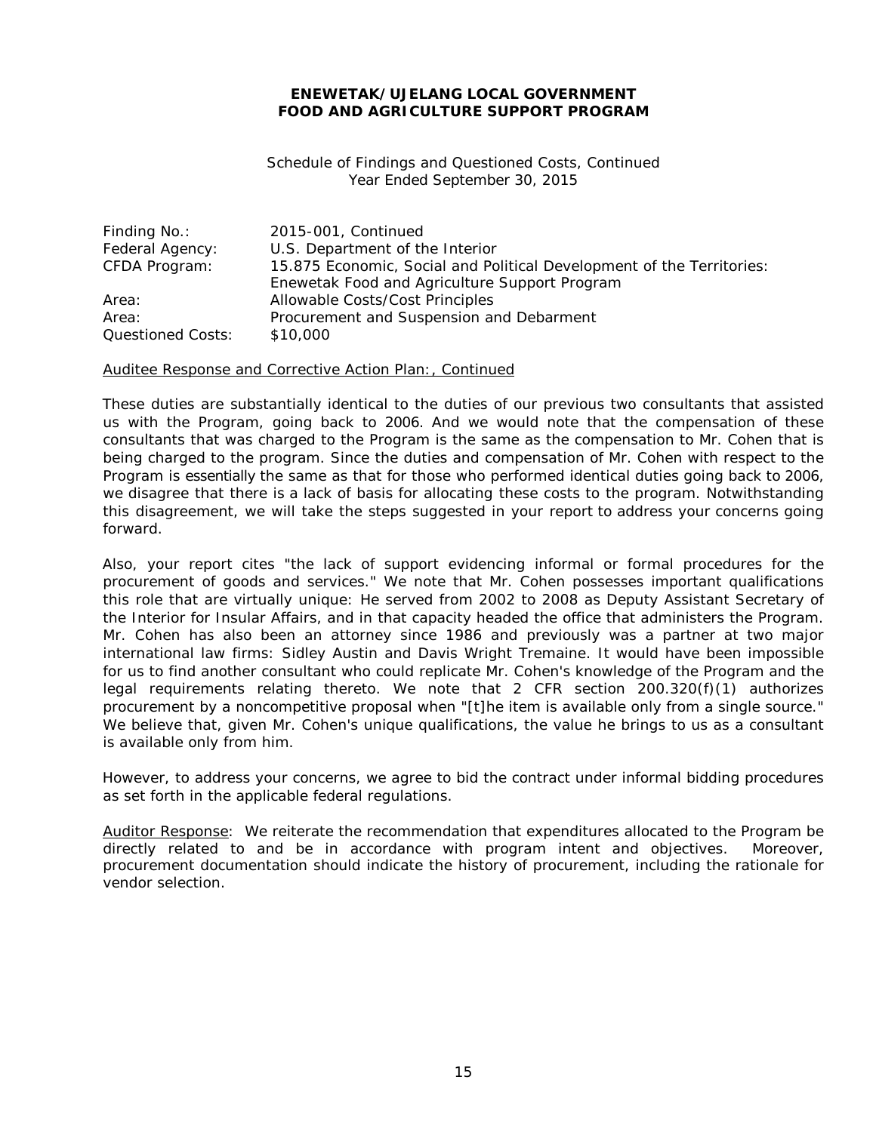Schedule of Findings and Questioned Costs, Continued Year Ended September 30, 2015

| Finding No.:             | 2015-001, Continued                                                   |
|--------------------------|-----------------------------------------------------------------------|
| Federal Agency:          | U.S. Department of the Interior                                       |
| CFDA Program:            | 15.875 Economic, Social and Political Development of the Territories: |
|                          | Enewetak Food and Agriculture Support Program                         |
| Area:                    | Allowable Costs/Cost Principles                                       |
| Area:                    | Procurement and Suspension and Debarment                              |
| <b>Questioned Costs:</b> | \$10,000                                                              |

#### Auditee Response and Corrective Action Plan:, Continued

These duties are substantially identical to the duties of our previous two consultants that assisted us with the Program, going back to 2006. And we would note that the compensation of these consultants that was charged to the Program is the same as the compensation to Mr. Cohen that is being charged to the program. Since the duties and compensation of Mr. Cohen with respect to the Program is essentially the same as that for those who performed identical duties going back to 2006, we disagree that there is a lack of basis for allocating these costs to the program. Notwithstanding this disagreement, we will take the steps suggested in your report to address your concerns going forward.

Also, your report cites "the lack of support evidencing informal or formal procedures for the procurement of goods and services." We note that Mr. Cohen possesses important qualifications this role that are virtually unique: He served from 2002 to 2008 as Deputy Assistant Secretary of the Interior for Insular Affairs, and in that capacity headed the office that administers the Program. Mr. Cohen has also been an attorney since 1986 and previously was a partner at two major international law firms: Sidley Austin and Davis Wright Tremaine. It would have been impossible for us to find another consultant who could replicate Mr. Cohen's knowledge of the Program and the legal requirements relating thereto. We note that 2 CFR section 200.320(f)(1) authorizes procurement by a noncompetitive proposal when "[t]he item is available only from a single source." We believe that, given Mr. Cohen's unique qualifications, the value he brings to us as a consultant is available only from him.

However, to address your concerns, we agree to bid the contract under informal bidding procedures as set forth in the applicable federal regulations.

Auditor Response: We reiterate the recommendation that expenditures allocated to the Program be directly related to and be in accordance with program intent and objectives. Moreover, procurement documentation should indicate the history of procurement, including the rationale for vendor selection.